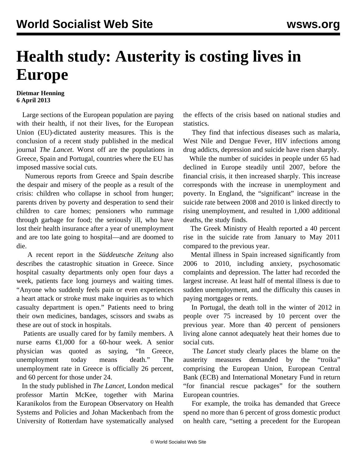## **Health study: Austerity is costing lives in Europe**

## **Dietmar Henning 6 April 2013**

 Large sections of the European population are paying with their health, if not their lives, for the European Union (EU)-dictated austerity measures. This is the conclusion of a recent study published in the medical journal *The Lancet*. Worst off are the populations in Greece, Spain and Portugal, countries where the EU has imposed massive social cuts.

 Numerous reports from Greece and Spain describe the despair and misery of the people as a result of the crisis: children who collapse in school from hunger; parents driven by poverty and desperation to send their children to care homes; pensioners who rummage through garbage for food; the seriously ill, who have lost their health insurance after a year of unemployment and are too late going to hospital—and are doomed to die.

 A recent report in the *Süddeutsche Zeitung* also describes the catastrophic situation in Greece. Since hospital casualty departments only open four days a week, patients face long journeys and waiting times. "Anyone who suddenly feels pain or even experiences a heart attack or stroke must make inquiries as to which casualty department is open." Patients need to bring their own medicines, bandages, scissors and swabs as these are out of stock in hospitals.

 Patients are usually cared for by family members. A nurse earns  $\epsilon$ 1,000 for a 60-hour week. A senior physician was quoted as saying, "In Greece, unemployment today means death." The unemployment rate in Greece is officially 26 percent, and 60 percent for those under 24.

 In the study published in *The Lancet*, London medical professor Martin McKee, together with Marina Karanikolos from the European Observatory on Health Systems and Policies and Johan Mackenbach from the University of Rotterdam have systematically analysed the effects of the crisis based on national studies and statistics.

 They find that infectious diseases such as malaria, West Nile and Dengue Fever, HIV infections among drug addicts, depression and suicide have risen sharply.

 While the number of suicides in people under 65 had declined in Europe steadily until 2007, before the financial crisis, it then increased sharply. This increase corresponds with the increase in unemployment and poverty. In England, the "significant" increase in the suicide rate between 2008 and 2010 is linked directly to rising unemployment, and resulted in 1,000 additional deaths, the study finds.

 The Greek Ministry of Health reported a 40 percent rise in the suicide rate from January to May 2011 compared to the previous year.

 Mental illness in Spain increased significantly from 2006 to 2010, including anxiety, psychosomatic complaints and depression. The latter had recorded the largest increase. At least half of mental illness is due to sudden unemployment, and the difficulty this causes in paying mortgages or rents.

 In Portugal, the death toll in the winter of 2012 in people over 75 increased by 10 percent over the previous year. More than 40 percent of pensioners living alone cannot adequately heat their homes due to social cuts.

 The *Lancet* study clearly places the blame on the austerity measures demanded by the "troika" comprising the European Union, European Central Bank (ECB) and International Monetary Fund in return "for financial rescue packages" for the southern European countries.

 For example, the troika has demanded that Greece spend no more than 6 percent of gross domestic product on health care, "setting a precedent for the European